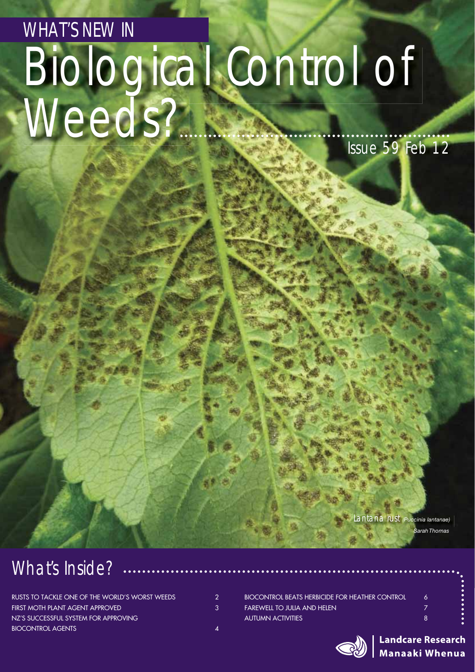# Biological Control of WHAT'S NEW IN Weeds? Issue 59 Feb 12

Lantana rust *(Puccinia lantanae) Sarah Thomas*

### What's Inside?

| RUSTS TO TACKLE ONE OF THE WORLD'S WORST WEEDS | 2 |
|------------------------------------------------|---|
| FIRST MOTH PLANT AGENT APPROVED                | 3 |
| NZ'S SUCCESSFUL SYSTEM FOR APPROVING           |   |
| <b>BIOCONTROL AGENTS</b>                       |   |

| <b>BIOCONTROL BEATS HERBICIDE FOR HEATHER CONTROL</b> | 6. |
|-------------------------------------------------------|----|
| <b>FAREWELL TO JULIA AND HELEN</b>                    |    |
| <b>AUTUMN ACTIVITIES</b>                              | 8. |

**Landcare Research Manaaki Whenua**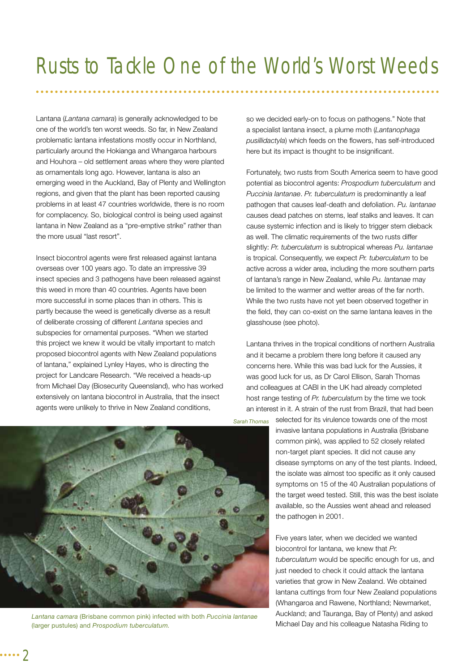Lantana (*Lantana camara*) is generally acknowledged to be one of the world's ten worst weeds. So far, in New Zealand problematic lantana infestations mostly occur in Northland, particularly around the Hokianga and Whangaroa harbours and Houhora – old settlement areas where they were planted as ornamentals long ago. However, lantana is also an emerging weed in the Auckland, Bay of Plenty and Wellington regions, and given that the plant has been reported causing problems in at least 47 countries worldwide, there is no room for complacency. So, biological control is being used against lantana in New Zealand as a "pre-emptive strike" rather than the more usual "last resort".

Insect biocontrol agents were first released against lantana overseas over 100 years ago. To date an impressive 39 insect species and 3 pathogens have been released against this weed in more than 40 countries. Agents have been more successful in some places than in others. This is partly because the weed is genetically diverse as a result of deliberate crossing of different *Lantana* species and subspecies for ornamental purposes. "When we started this project we knew it would be vitally important to match proposed biocontrol agents with New Zealand populations of lantana," explained Lynley Hayes, who is directing the project for Landcare Research. "We received a heads-up from Michael Day (Biosecurity Queensland), who has worked extensively on lantana biocontrol in Australia, that the insect agents were unlikely to thrive in New Zealand conditions,

so we decided early-on to focus on pathogens." Note that a specialist lantana insect, a plume moth (*Lantanophaga*  pusillidactyla) which feeds on the flowers, has self-introduced here but its impact is thought to be insignificant.

Fortunately, two rusts from South America seem to have good potential as biocontrol agents: *Prospodium tuberculatum* and *Puccinia lantanae*. *Pr. tuberculatum* is predominantly a leaf pathogen that causes leaf-death and defoliation. *Pu. lantanae*  causes dead patches on stems, leaf stalks and leaves. It can cause systemic infection and is likely to trigger stem dieback as well. The climatic requirements of the two rusts differ slightly: *Pr. tuberculatum* is subtropical whereas *Pu. lantanae* is tropical. Consequently, we expect *Pr. tuberculatum* to be active across a wider area, including the more southern parts of lantana's range in New Zealand, while *Pu. lantanae* may be limited to the warmer and wetter areas of the far north. While the two rusts have not yet been observed together in the field, they can co-exist on the same lantana leaves in the glasshouse (see photo).

Lantana thrives in the tropical conditions of northern Australia and it became a problem there long before it caused any concerns here. While this was bad luck for the Aussies, it was good luck for us, as Dr Carol Ellison, Sarah Thomas and colleagues at CABI in the UK had already completed host range testing of *Pr. tuberculatu*m by the time we took an interest in it. A strain of the rust from Brazil, that had been



*Lantana camara* (Brisbane common pink) infected with both *Puccinia lantanae* (larger pustules) and *Prospodium tuberculatum.* 

*Sarah Thomas arah* 

selected for its virulence towards one of the most invasive lantana populations in Australia (Brisbane common pink), was applied to 52 closely related non-target plant species. It did not cause any disease symptoms on any of the test plants. Indeed, the isolate was almost too specific as it only caused symptoms on 15 of the 40 Australian populations of the target weed tested. Still, this was the best isolate available, so the Aussies went ahead and released the pathogen in 2001.

Five years later, when we decided we wanted biocontrol for lantana, we knew that *Pr. tuberculatum* would be specific enough for us, and just needed to check it could attack the lantana varieties that grow in New Zealand. We obtained lantana cuttings from four New Zealand populations (Whangaroa and Rawene, Northland; Newmarket, Auckland; and Tauranga, Bay of Plenty) and asked Michael Day and his colleague Natasha Riding to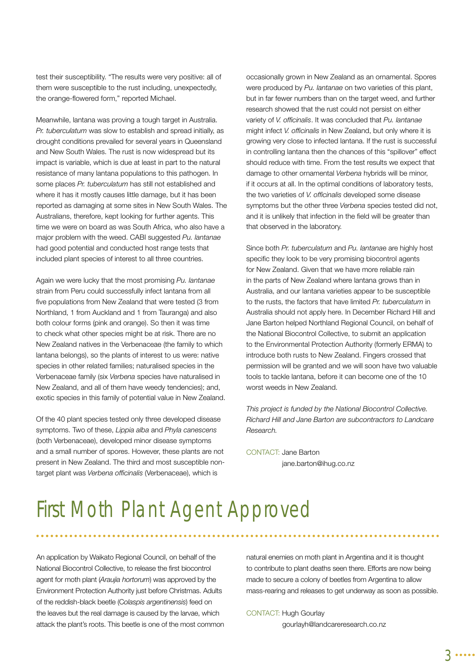test their susceptibility. "The results were very positive: all of them were susceptible to the rust including, unexpectedly, the orange-flowered form," reported Michael.

Meanwhile, lantana was proving a tough target in Australia. *Pr. tuberculatum* was slow to establish and spread initially, as drought conditions prevailed for several years in Queensland and New South Wales. The rust is now widespread but its impact is variable, which is due at least in part to the natural resistance of many lantana populations to this pathogen. In some places *Pr. tuberculatum* has still not established and where it has it mostly causes little damage, but it has been reported as damaging at some sites in New South Wales. The Australians, therefore, kept looking for further agents. This time we were on board as was South Africa, who also have a major problem with the weed. CABI suggested *Pu. lantanae* had good potential and conducted host range tests that included plant species of interest to all three countries.

Again we were lucky that the most promising *Pu. lantanae* strain from Peru could successfully infect lantana from all five populations from New Zealand that were tested (3 from Northland, 1 from Auckland and 1 from Tauranga) and also both colour forms (pink and orange). So then it was time to check what other species might be at risk. There are no New Zealand natives in the Verbenaceae (the family to which lantana belongs), so the plants of interest to us were: native species in other related families; naturalised species in the Verbenaceae family (six *Verbena* species have naturalised in New Zealand, and all of them have weedy tendencies); and, exotic species in this family of potential value in New Zealand.

Of the 40 plant species tested only three developed disease symptoms. Two of these, *Lippia alba* and *Phyla canescens* (both Verbenaceae), developed minor disease symptoms and a small number of spores. However, these plants are not present in New Zealand. The third and most susceptible nontarget plant was *Verbena officinalis* (Verbenaceae), which is

occasionally grown in New Zealand as an ornamental. Spores were produced by *Pu. lantanae* on two varieties of this plant, but in far fewer numbers than on the target weed, and further research showed that the rust could not persist on either variety of *V. officinalis*. It was concluded that Pu. lantanae might infect *V. officinalis* in New Zealand, but only where it is growing very close to infected lantana. If the rust is successful in controlling lantana then the chances of this "spillover" effect should reduce with time. From the test results we expect that damage to other ornamental *Verbena* hybrids will be minor, if it occurs at all. In the optimal conditions of laboratory tests, the two varieties of *V. officinalis* developed some disease symptoms but the other three *Verbena* species tested did not, and it is unlikely that infection in the field will be greater than that observed in the laboratory.

Since both *Pr. tuberculatum* and *Pu. lantana*e are highly host specific they look to be very promising biocontrol agents for New Zealand. Given that we have more reliable rain in the parts of New Zealand where lantana grows than in Australia, and our lantana varieties appear to be susceptible to the rusts, the factors that have limited *Pr. tuberculatum* in Australia should not apply here. In December Richard Hill and Jane Barton helped Northland Regional Council, on behalf of the National Biocontrol Collective, to submit an application to the Environmental Protection Authority (formerly ERMA) to introduce both rusts to New Zealand. Fingers crossed that permission will be granted and we will soon have two valuable tools to tackle lantana, before it can become one of the 10 worst weeds in New Zealand.

*This project is funded by the National Biocontrol Collective. Richard Hill and Jane Barton are subcontractors to Landcare Research.*

CONTACT: Jane Barton jane.barton@ihug.co.nz

### First Moth Plant Agent Approved

An application by Waikato Regional Council, on behalf of the National Biocontrol Collective, to release the first biocontrol agent for moth plant (*Araujia hortorum*) was approved by the Environment Protection Authority just before Christmas. Adults of the reddish-black beetle (C*olaspis argentinensis*) feed on the leaves but the real damage is caused by the larvae, which attack the plant's roots. This beetle is one of the most common natural enemies on moth plant in Argentina and it is thought to contribute to plant deaths seen there. Efforts are now being made to secure a colony of beetles from Argentina to allow mass-rearing and releases to get underway as soon as possible.

CONTACT: Hugh Gourlay gourlayh@landcareresearch.co.nz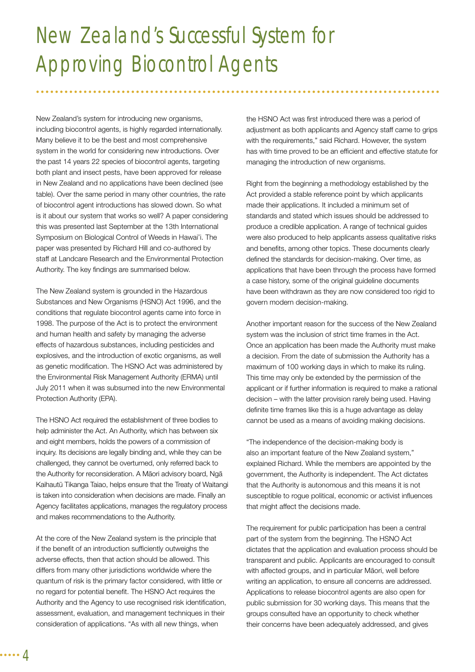## New Zealand's Successful System for Approving Biocontrol Agents

New Zealand's system for introducing new organisms, including biocontrol agents, is highly regarded internationally. Many believe it to be the best and most comprehensive system in the world for considering new introductions. Over the past 14 years 22 species of biocontrol agents, targeting both plant and insect pests, have been approved for release in New Zealand and no applications have been declined (see table). Over the same period in many other countries, the rate of biocontrol agent introductions has slowed down. So what is it about our system that works so well? A paper considering this was presented last September at the 13th International Symposium on Biological Control of Weeds in Hawai'i. The paper was presented by Richard Hill and co-authored by staff at Landcare Research and the Environmental Protection Authority. The key findings are summarised below.

The New Zealand system is grounded in the Hazardous Substances and New Organisms (HSNO) Act 1996, and the conditions that regulate biocontrol agents came into force in 1998. The purpose of the Act is to protect the environment and human health and safety by managing the adverse effects of hazardous substances, including pesticides and explosives, and the introduction of exotic organisms, as well as genetic modification. The HSNO Act was administered by the Environmental Risk Management Authority (ERMA) until July 2011 when it was subsumed into the new Environmental Protection Authority (EPA).

The HSNO Act required the establishment of three bodies to help administer the Act. An Authority, which has between six and eight members, holds the powers of a commission of inquiry. Its decisions are legally binding and, while they can be challenged, they cannot be overturned, only referred back to the Authority for reconsideration. A Māori advisory board, Ngā Kaihautū Tikanga Taiao, helps ensure that the Treaty of Waitangi is taken into consideration when decisions are made. Finally an Agency facilitates applications, manages the regulatory process and makes recommendations to the Authority.

At the core of the New Zealand system is the principle that if the benefit of an introduction sufficiently outweighs the adverse effects, then that action should be allowed. This differs from many other jurisdictions worldwide where the quantum of risk is the primary factor considered, with little or no regard for potential benefit. The HSNO Act requires the Authority and the Agency to use recognised risk identification. assessment, evaluation, and management techniques in their consideration of applications. "As with all new things, when

the HSNO Act was first introduced there was a period of adjustment as both applicants and Agency staff came to grips with the requirements," said Richard. However, the system has with time proved to be an efficient and effective statute for managing the introduction of new organisms.

Right from the beginning a methodology established by the Act provided a stable reference point by which applicants made their applications. It included a minimum set of standards and stated which issues should be addressed to produce a credible application. A range of technical guides were also produced to help applicants assess qualitative risks and benefits, among other topics. These documents clearly defined the standards for decision-making. Over time, as applications that have been through the process have formed a case history, some of the original guideline documents have been withdrawn as they are now considered too rigid to govern modern decision-making.

Another important reason for the success of the New Zealand system was the inclusion of strict time frames in the Act. Once an application has been made the Authority must make a decision. From the date of submission the Authority has a maximum of 100 working days in which to make its ruling. This time may only be extended by the permission of the applicant or if further information is required to make a rational decision – with the latter provision rarely being used. Having definite time frames like this is a huge advantage as delay cannot be used as a means of avoiding making decisions.

"The independence of the decision-making body is also an important feature of the New Zealand system," explained Richard. While the members are appointed by the government, the Authority is independent. The Act dictates that the Authority is autonomous and this means it is not susceptible to rogue political, economic or activist influences that might affect the decisions made.

The requirement for public participation has been a central part of the system from the beginning. The HSNO Act dictates that the application and evaluation process should be transparent and public. Applicants are encouraged to consult with affected groups, and in particular Māori, well before writing an application, to ensure all concerns are addressed. Applications to release biocontrol agents are also open for public submission for 30 working days. This means that the groups consulted have an opportunity to check whether their concerns have been adequately addressed, and gives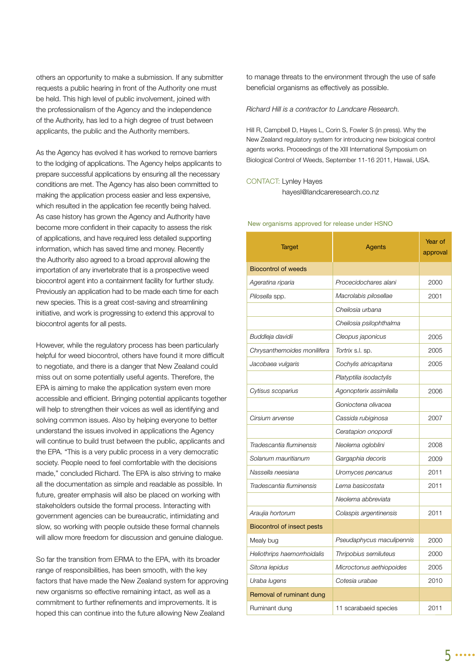others an opportunity to make a submission. If any submitter requests a public hearing in front of the Authority one must be held. This high level of public involvement, joined with the professionalism of the Agency and the independence of the Authority, has led to a high degree of trust between applicants, the public and the Authority members.

As the Agency has evolved it has worked to remove barriers to the lodging of applications. The Agency helps applicants to prepare successful applications by ensuring all the necessary conditions are met. The Agency has also been committed to making the application process easier and less expensive, which resulted in the application fee recently being halved. As case history has grown the Agency and Authority have become more confident in their capacity to assess the risk of applications, and have required less detailed supporting information, which has saved time and money. Recently the Authority also agreed to a broad approval allowing the importation of any invertebrate that is a prospective weed biocontrol agent into a containment facility for further study. Previously an application had to be made each time for each new species. This is a great cost-saving and streamlining initiative, and work is progressing to extend this approval to biocontrol agents for all pests.

However, while the regulatory process has been particularly helpful for weed biocontrol, others have found it more difficult to negotiate, and there is a danger that New Zealand could miss out on some potentially useful agents. Therefore, the EPA is aiming to make the application system even more accessible and efficient. Bringing potential applicants together will help to strengthen their voices as well as identifying and solving common issues. Also by helping everyone to better understand the issues involved in applications the Agency will continue to build trust between the public, applicants and the EPA. "This is a very public process in a very democratic society. People need to feel comfortable with the decisions made," concluded Richard. The EPA is also striving to make all the documentation as simple and readable as possible. In future, greater emphasis will also be placed on working with stakeholders outside the formal process. Interacting with government agencies can be bureaucratic, intimidating and slow, so working with people outside these formal channels will allow more freedom for discussion and genuine dialogue.

So far the transition from ERMA to the EPA, with its broader range of responsibilities, has been smooth, with the key factors that have made the New Zealand system for approving new organisms so effective remaining intact, as well as a commitment to further refinements and improvements. It is hoped this can continue into the future allowing New Zealand

to manage threats to the environment through the use of safe beneficial organisms as effectively as possible.

*Richard Hill is a contractor to Landcare Research.*

Hill R, Campbell D, Hayes L, Corin S, Fowler S (in press). Why the New Zealand regulatory system for introducing new biological control agents works. Proceedings of the XIII International Symposium on Biological Control of Weeds, September 11-16 2011, Hawaii, USA.

#### CONTACT: Lynley Hayes

hayesl@landcareresearch.co.nz

| <b>Target</b>                     | Agents                    | Year of<br>approval |
|-----------------------------------|---------------------------|---------------------|
| <b>Biocontrol of weeds</b>        |                           |                     |
| Ageratina riparia                 | Procecidochares alani     | 2000                |
| Pilosella spp.                    | Macrolabis pilosellae     | 2001                |
|                                   | Cheilosia urbana          |                     |
|                                   | Cheilosia psilophthalma   |                     |
| Buddleja davidii                  | Cleopus japonicus         | 2005                |
| Chrysanthemoides monilifera       | Tortrix s.l. sp.          | 2005                |
| Jacobaea vulgaris                 | Cochylis atricapitana     | 2005                |
|                                   | Platyptilia isodactylis   |                     |
| Cytisus scoparius                 | Agonopterix assimilella   | 2006                |
|                                   | Gonioctena olivacea       |                     |
| Cirsium arvense                   | Cassida rubiginosa        | 2007                |
|                                   | Ceratapion onopordi       |                     |
| Tradescantia fluminensis          | Neolema ogloblini         | 2008                |
| Solanum mauritianum               | Gargaphia decoris         | 2009                |
| Nassella neesiana                 | Uromyces pencanus         | 2011                |
| Tradescantia fluminensis          | Lema basicostata          | 2011                |
|                                   | Neolema abbreviata        |                     |
| Araujia hortorum                  | Colaspis argentinensis    | 2011                |
| <b>Biocontrol of insect pests</b> |                           |                     |
| Mealy bug                         | Pseudaphycus maculipennis | 2000                |
| Heliothrips haemorrhoidalis       | Thripobius semiluteus     | 2000                |
| Sitona lepidus                    | Microctonus aethiopoides  | 2005                |
| Uraba lugens                      | Cotesia urabae            | 2010                |
| Removal of ruminant dung          |                           |                     |
| Ruminant dung                     | 11 scarabaeid species     | 2011                |

#### New organisms approved for release under HSNO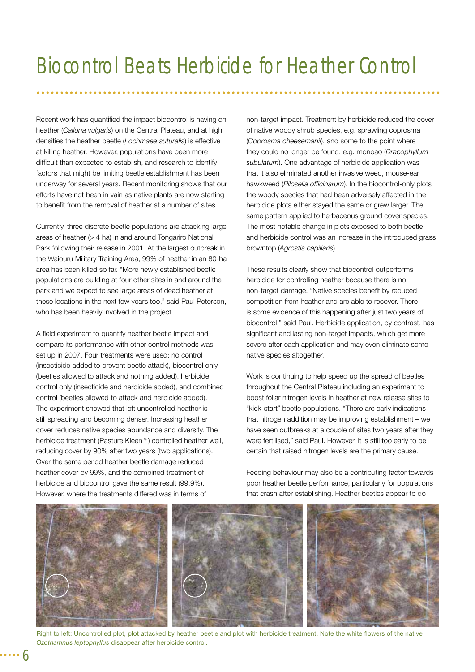Recent work has quantified the impact biocontrol is having on heather (*Calluna vulgaris*) on the Central Plateau, and at high densities the heather beetle (*Lochmaea suturalis*) is effective at killing heather. However, populations have been more difficult than expected to establish, and research to identify factors that might be limiting beetle establishment has been underway for several years. Recent monitoring shows that our efforts have not been in vain as native plants are now starting to benefit from the removal of heather at a number of sites.

Currently, three discrete beetle populations are attacking large areas of heather (> 4 ha) in and around Tongariro National Park following their release in 2001. At the largest outbreak in the Waiouru Military Training Area, 99% of heather in an 80-ha area has been killed so far. "More newly established beetle populations are building at four other sites in and around the park and we expect to see large areas of dead heather at these locations in the next few years too," said Paul Peterson, who has been heavily involved in the project.

A field experiment to quantify heather beetle impact and compare its performance with other control methods was set up in 2007. Four treatments were used: no control (insecticide added to prevent beetle attack), biocontrol only (beetles allowed to attack and nothing added), herbicide control only (insecticide and herbicide added), and combined control (beetles allowed to attack and herbicide added). The experiment showed that left uncontrolled heather is still spreading and becoming denser. Increasing heather cover reduces native species abundance and diversity. The herbicide treatment (Pasture Kleen®) controlled heather well, reducing cover by 90% after two years (two applications). Over the same period heather beetle damage reduced heather cover by 99%, and the combined treatment of herbicide and biocontrol gave the same result (99.9%). However, where the treatments differed was in terms of

non-target impact. Treatment by herbicide reduced the cover of native woody shrub species, e.g. sprawling coprosma (*Coprosma cheesemanii*), and some to the point where they could no longer be found, e.g. monoao (*Dracophyllum subulatum*). One advantage of herbicide application was that it also eliminated another invasive weed, mouse-ear hawkweed (Pilosella officinarum). In the biocontrol-only plots the woody species that had been adversely affected in the herbicide plots either stayed the same or grew larger. The same pattern applied to herbaceous ground cover species. The most notable change in plots exposed to both beetle and herbicide control was an increase in the introduced grass browntop (*Agrostis capillaris*).

These results clearly show that biocontrol outperforms herbicide for controlling heather because there is no non-target damage. "Native species benefit by reduced competition from heather and are able to recover. There is some evidence of this happening after just two years of biocontrol," said Paul. Herbicide application, by contrast, has significant and lasting non-target impacts, which get more severe after each application and may even eliminate some native species altogether.

Work is continuing to help speed up the spread of beetles throughout the Central Plateau including an experiment to boost foliar nitrogen levels in heather at new release sites to "kick-start" beetle populations. "There are early indications that nitrogen addition may be improving establishment – we have seen outbreaks at a couple of sites two years after they were fertilised," said Paul. However, it is still too early to be certain that raised nitrogen levels are the primary cause.

Feeding behaviour may also be a contributing factor towards poor heather beetle performance, particularly for populations that crash after establishing. Heather beetles appear to do



Right to left: Uncontrolled plot, plot attacked by heather beetle and plot with herbicide treatment. Note the white flowers of the native *Ozothamnus leptophyllus* disappear after herbicide control.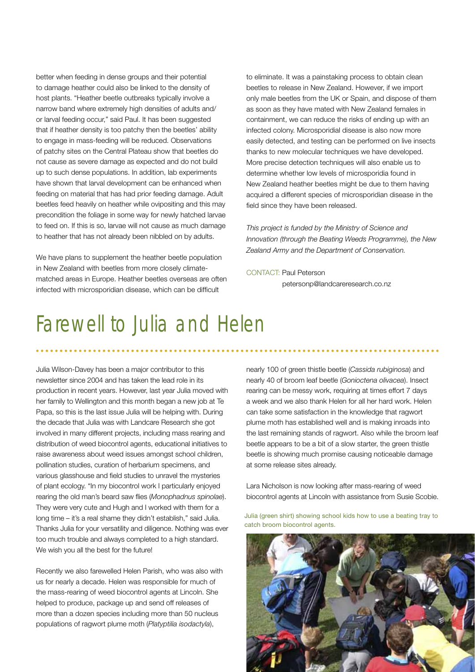better when feeding in dense groups and their potential to damage heather could also be linked to the density of host plants. "Heather beetle outbreaks typically involve a narrow band where extremely high densities of adults and/ or larval feeding occur," said Paul. It has been suggested that if heather density is too patchy then the beetles' ability to engage in mass-feeding will be reduced. Observations of patchy sites on the Central Plateau show that beetles do not cause as severe damage as expected and do not build up to such dense populations. In addition, lab experiments have shown that larval development can be enhanced when feeding on material that has had prior feeding damage. Adult beetles feed heavily on heather while ovipositing and this may precondition the foliage in some way for newly hatched larvae to feed on. If this is so, larvae will not cause as much damage to heather that has not already been nibbled on by adults.

We have plans to supplement the heather beetle population in New Zealand with beetles from more closely climatematched areas in Europe. Heather beetles overseas are often infected with microsporidian disease, which can be difficult

to eliminate. It was a painstaking process to obtain clean beetles to release in New Zealand. However, if we import only male beetles from the UK or Spain, and dispose of them as soon as they have mated with New Zealand females in containment, we can reduce the risks of ending up with an infected colony. Microsporidial disease is also now more easily detected, and testing can be performed on live insects thanks to new molecular techniques we have developed. More precise detection techniques will also enable us to determine whether low levels of microsporidia found in New Zealand heather beetles might be due to them having acquired a different species of microsporidian disease in the field since they have been released.

*This project is funded by the Ministry of Science and Innovation (through the Beating Weeds Programme), the New Zealand Army and the Department of Conservation.*

CONTACT: Paul Peterson

petersonp@landcareresearch.co.nz

### Farewell to Julia and Helen

Julia Wilson-Davey has been a major contributor to this newsletter since 2004 and has taken the lead role in its production in recent years. However, last year Julia moved with her family to Wellington and this month began a new job at Te Papa, so this is the last issue Julia will be helping with. During the decade that Julia was with Landcare Research she got involved in many different projects, including mass rearing and distribution of weed biocontrol agents, educational initiatives to raise awareness about weed issues amongst school children, pollination studies, curation of herbarium specimens, and various glasshouse and field studies to unravel the mysteries of plant ecology. "In my biocontrol work I particularly enjoyed rearing the old man's beard saw flies (Monophadnus spinolae). They were very cute and Hugh and I worked with them for a long time – it's a real shame they didn't establish," said Julia. Thanks Julia for your versatility and diligence. Nothing was ever too much trouble and always completed to a high standard. We wish you all the best for the future!

Recently we also farewelled Helen Parish, who was also with us for nearly a decade. Helen was responsible for much of the mass-rearing of weed biocontrol agents at Lincoln. She helped to produce, package up and send off releases of more than a dozen species including more than 50 nucleus populations of ragwort plume moth (*Platyptilia isodactyla*),

nearly 100 of green thistle beetle (*Cassida rubiginosa*) and nearly 40 of broom leaf beetle (*Gonioctena olivacea*). Insect rearing can be messy work, requiring at times effort 7 days a week and we also thank Helen for all her hard work. Helen can take some satisfaction in the knowledge that ragwort plume moth has established well and is making inroads into the last remaining stands of ragwort. Also while the broom leaf beetle appears to be a bit of a slow starter, the green thistle beetle is showing much promise causing noticeable damage at some release sites already.

Lara Nicholson is now looking after mass-rearing of weed biocontrol agents at Lincoln with assistance from Susie Scobie.

Julia (green shirt) showing school kids how to use a beating tray to catch broom biocontrol agents.